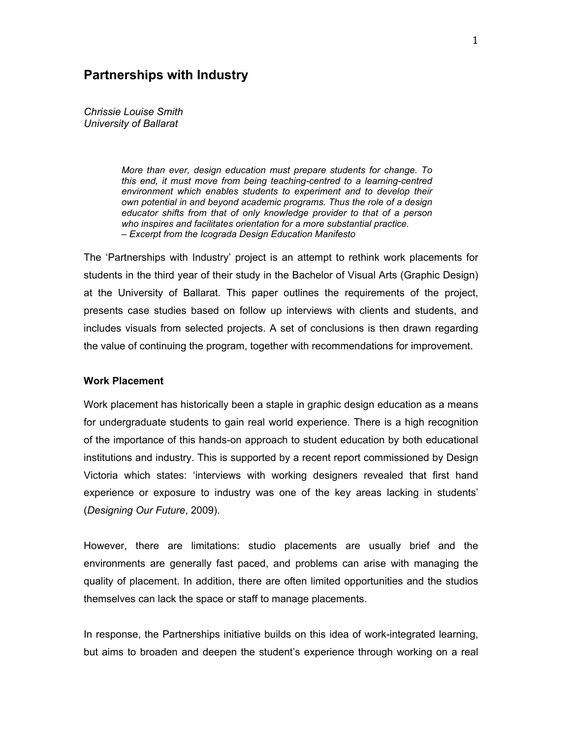# **Partnerships with Industry**

*Chrissie Louise Smith University of Ballarat*

> *More than ever, design education must prepare students for change. To this end, it must move from being teaching-centred to a learning-centred environment which enables students to experiment and to develop their own potential in and beyond academic programs. Thus the role of a design educator shifts from that of only knowledge provider to that of a person who inspires and facilitates orientation for a more substantial practice. – Excerpt from the Icograda Design Education Manifesto*

The 'Partnerships with Industry' project is an attempt to rethink work placements for students in the third year of their study in the Bachelor of Visual Arts (Graphic Design) at the University of Ballarat. This paper outlines the requirements of the project, presents case studies based on follow up interviews with clients and students, and includes visuals from selected projects. A set of conclusions is then drawn regarding the value of continuing the program, together with recommendations for improvement.

#### **Work Placement**

Work placement has historically been a staple in graphic design education as a means for undergraduate students to gain real world experience. There is a high recognition of the importance of this hands-on approach to student education by both educational institutions and industry. This is supported by a recent report commissioned by Design Victoria which states: 'interviews with working designers revealed that first hand experience or exposure to industry was one of the key areas lacking in students' (*Designing Our Future*, 2009).

However, there are limitations: studio placements are usually brief and the environments are generally fast paced, and problems can arise with managing the quality of placement. In addition, there are often limited opportunities and the studios themselves can lack the space or staff to manage placements.

In response, the Partnerships initiative builds on this idea of work-integrated learning, but aims to broaden and deepen the student's experience through working on a real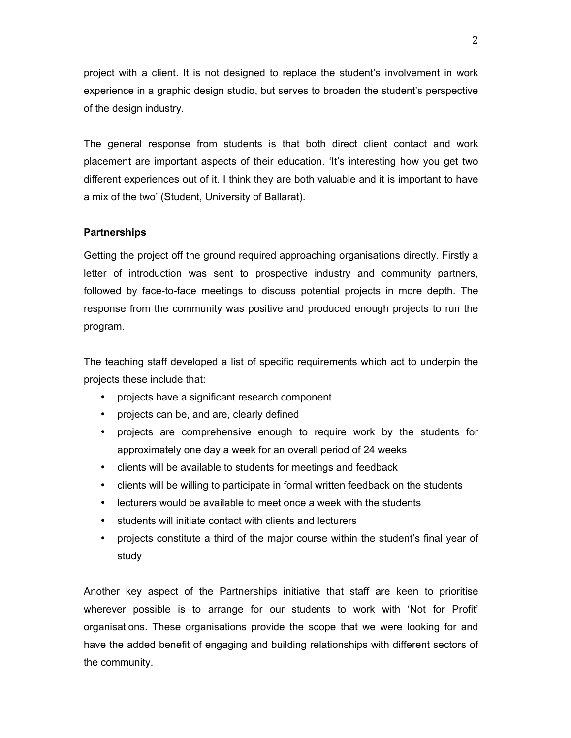project with a client. It is not designed to replace the student's involvement in work experience in a graphic design studio, but serves to broaden the student's perspective of the design industry.

The general response from students is that both direct client contact and work placement are important aspects of their education. 'It's interesting how you get two different experiences out of it. I think they are both valuable and it is important to have a mix of the two' (Student, University of Ballarat).

### **Partnerships**

Getting the project off the ground required approaching organisations directly. Firstly a letter of introduction was sent to prospective industry and community partners, followed by face-to-face meetings to discuss potential projects in more depth. The response from the community was positive and produced enough projects to run the program.

The teaching staff developed a list of specific requirements which act to underpin the projects these include that:

- projects have a significant research component
- projects can be, and are, clearly defined
- projects are comprehensive enough to require work by the students for approximately one day a week for an overall period of 24 weeks
- clients will be available to students for meetings and feedback
- clients will be willing to participate in formal written feedback on the students
- lecturers would be available to meet once a week with the students
- students will initiate contact with clients and lecturers
- projects constitute a third of the major course within the student's final year of study

Another key aspect of the Partnerships initiative that staff are keen to prioritise wherever possible is to arrange for our students to work with 'Not for Profit' organisations. These organisations provide the scope that we were looking for and have the added benefit of engaging and building relationships with different sectors of the community.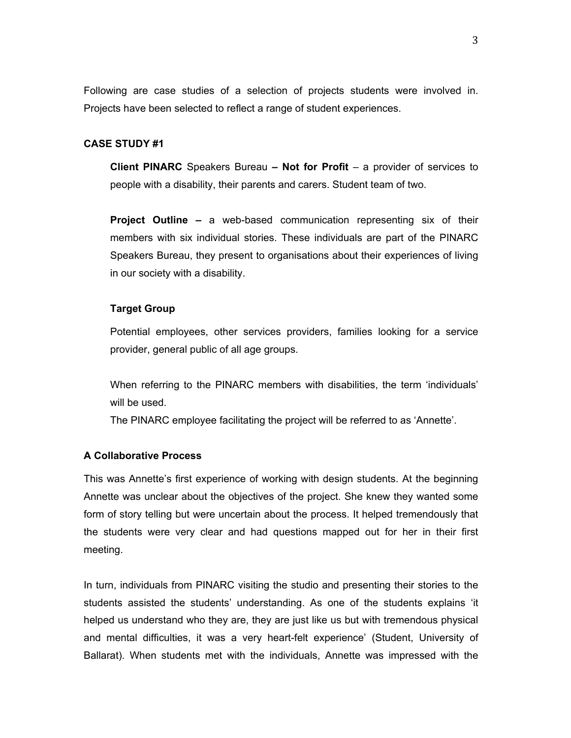Following are case studies of a selection of projects students were involved in. Projects have been selected to reflect a range of student experiences.

## **CASE STUDY #1**

**Client PINARC** Speakers Bureau **– Not for Profit** – a provider of services to people with a disability, their parents and carers. Student team of two.

**Project Outline –** a web-based communication representing six of their members with six individual stories. These individuals are part of the PINARC Speakers Bureau, they present to organisations about their experiences of living in our society with a disability.

### **Target Group**

Potential employees, other services providers, families looking for a service provider, general public of all age groups.

When referring to the PINARC members with disabilities, the term 'individuals' will be used.

The PINARC employee facilitating the project will be referred to as 'Annette'.

### **A Collaborative Process**

This was Annette's first experience of working with design students. At the beginning Annette was unclear about the objectives of the project. She knew they wanted some form of story telling but were uncertain about the process. It helped tremendously that the students were very clear and had questions mapped out for her in their first meeting.

In turn, individuals from PINARC visiting the studio and presenting their stories to the students assisted the students' understanding. As one of the students explains 'it helped us understand who they are, they are just like us but with tremendous physical and mental difficulties, it was a very heart-felt experience' (Student, University of Ballarat). When students met with the individuals, Annette was impressed with the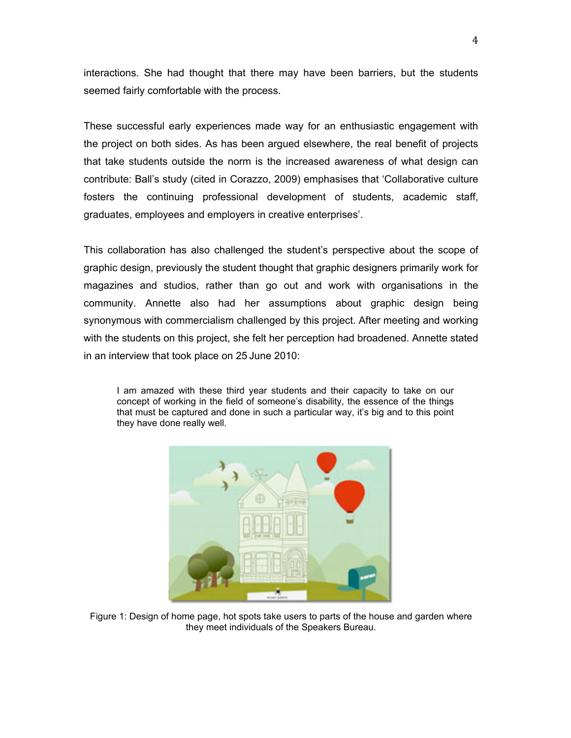interactions. She had thought that there may have been barriers, but the students seemed fairly comfortable with the process.

These successful early experiences made way for an enthusiastic engagement with the project on both sides. As has been argued elsewhere, the real benefit of projects that take students outside the norm is the increased awareness of what design can contribute: Ball's study (cited in Corazzo, 2009) emphasises that 'Collaborative culture fosters the continuing professional development of students, academic staff, graduates, employees and employers in creative enterprises'.

This collaboration has also challenged the student's perspective about the scope of graphic design, previously the student thought that graphic designers primarily work for magazines and studios, rather than go out and work with organisations in the community. Annette also had her assumptions about graphic design being synonymous with commercialism challenged by this project. After meeting and working with the students on this project, she felt her perception had broadened. Annette stated in an interview that took place on 25 June 2010:

I am amazed with these third year students and their capacity to take on our concept of working in the field of someone's disability, the essence of the things that must be captured and done in such a particular way, it's big and to this point they have done really well.



Figure 1: Design of home page, hot spots take users to parts of the house and garden where they meet individuals of the Speakers Bureau.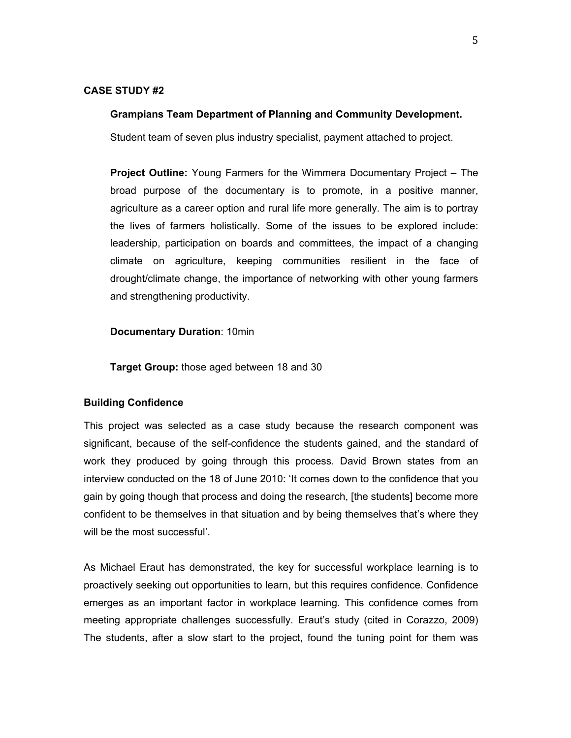### **CASE STUDY #2**

#### **Grampians Team Department of Planning and Community Development.**

Student team of seven plus industry specialist, payment attached to project.

**Project Outline:** Young Farmers for the Wimmera Documentary Project – The broad purpose of the documentary is to promote, in a positive manner, agriculture as a career option and rural life more generally. The aim is to portray the lives of farmers holistically. Some of the issues to be explored include: leadership, participation on boards and committees, the impact of a changing climate on agriculture, keeping communities resilient in the face of drought/climate change, the importance of networking with other young farmers and strengthening productivity.

**Documentary Duration**: 10min

**Target Group:** those aged between 18 and 30

### **Building Confidence**

This project was selected as a case study because the research component was significant, because of the self-confidence the students gained, and the standard of work they produced by going through this process. David Brown states from an interview conducted on the 18 of June 2010: 'It comes down to the confidence that you gain by going though that process and doing the research, [the students] become more confident to be themselves in that situation and by being themselves that's where they will be the most successful'.

As Michael Eraut has demonstrated, the key for successful workplace learning is to proactively seeking out opportunities to learn, but this requires confidence. Confidence emerges as an important factor in workplace learning. This confidence comes from meeting appropriate challenges successfully. Eraut's study (cited in Corazzo, 2009) The students, after a slow start to the project, found the tuning point for them was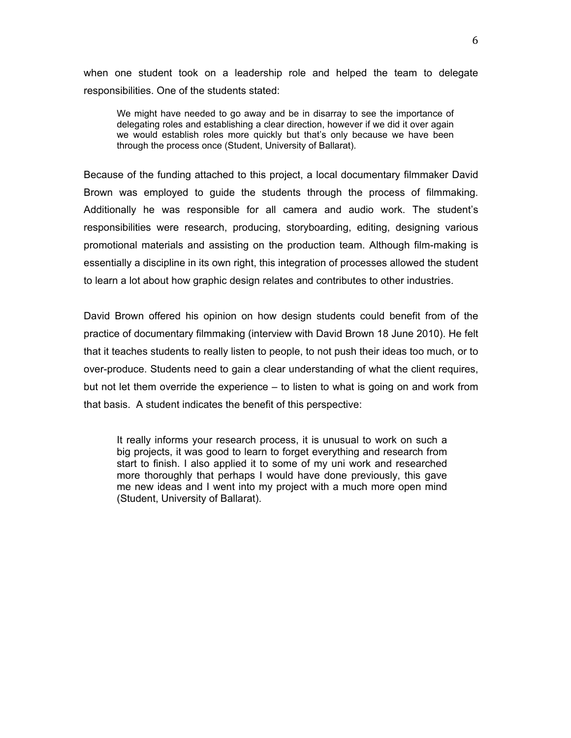when one student took on a leadership role and helped the team to delegate responsibilities. One of the students stated:

We might have needed to go away and be in disarray to see the importance of delegating roles and establishing a clear direction, however if we did it over again we would establish roles more quickly but that's only because we have been through the process once (Student, University of Ballarat).

Because of the funding attached to this project, a local documentary filmmaker David Brown was employed to guide the students through the process of filmmaking. Additionally he was responsible for all camera and audio work. The student's responsibilities were research, producing, storyboarding, editing, designing various promotional materials and assisting on the production team. Although film-making is essentially a discipline in its own right, this integration of processes allowed the student to learn a lot about how graphic design relates and contributes to other industries.

David Brown offered his opinion on how design students could benefit from of the practice of documentary filmmaking (interview with David Brown 18 June 2010). He felt that it teaches students to really listen to people, to not push their ideas too much, or to over-produce. Students need to gain a clear understanding of what the client requires, but not let them override the experience – to listen to what is going on and work from that basis. A student indicates the benefit of this perspective:

It really informs your research process, it is unusual to work on such a big projects, it was good to learn to forget everything and research from start to finish. I also applied it to some of my uni work and researched more thoroughly that perhaps I would have done previously, this gave me new ideas and I went into my project with a much more open mind (Student, University of Ballarat).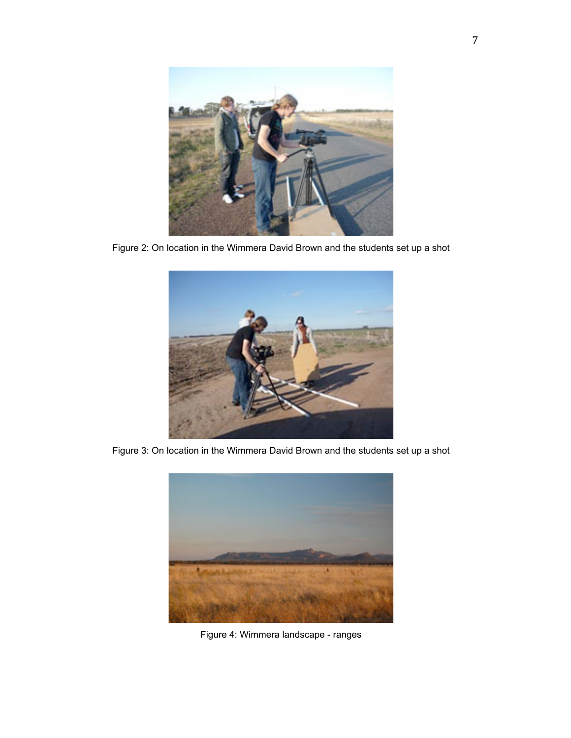

Figure 2: On location in the Wimmera David Brown and the students set up a shot



Figure 3: On location in the Wimmera David Brown and the students set up a shot



Figure 4: Wimmera landscape - ranges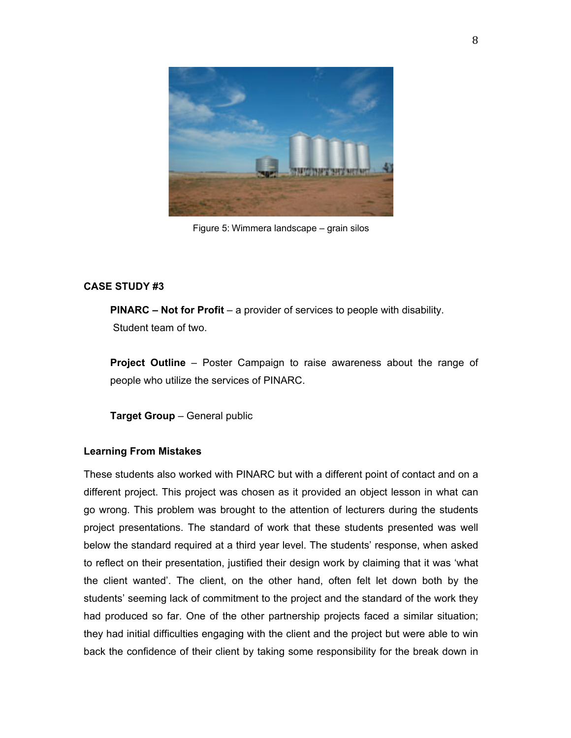

Figure 5: Wimmera landscape – grain silos

# **CASE STUDY #3**

**PINARC – Not for Profit** – a provider of services to people with disability. Student team of two.

**Project Outline** – Poster Campaign to raise awareness about the range of people who utilize the services of PINARC.

**Target Group** – General public

# **Learning From Mistakes**

These students also worked with PINARC but with a different point of contact and on a different project. This project was chosen as it provided an object lesson in what can go wrong. This problem was brought to the attention of lecturers during the students project presentations. The standard of work that these students presented was well below the standard required at a third year level. The students' response, when asked to reflect on their presentation, justified their design work by claiming that it was 'what the client wanted'. The client, on the other hand, often felt let down both by the students' seeming lack of commitment to the project and the standard of the work they had produced so far. One of the other partnership projects faced a similar situation; they had initial difficulties engaging with the client and the project but were able to win back the confidence of their client by taking some responsibility for the break down in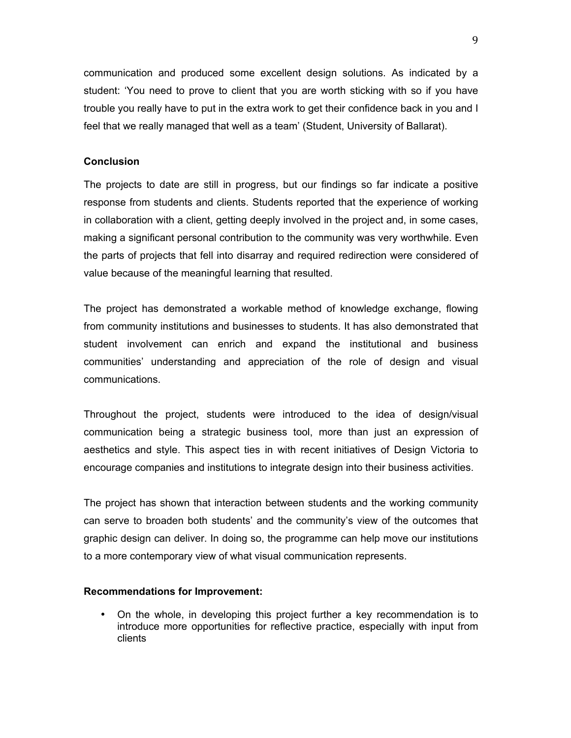communication and produced some excellent design solutions. As indicated by a student: 'You need to prove to client that you are worth sticking with so if you have trouble you really have to put in the extra work to get their confidence back in you and I feel that we really managed that well as a team' (Student, University of Ballarat).

## **Conclusion**

The projects to date are still in progress, but our findings so far indicate a positive response from students and clients. Students reported that the experience of working in collaboration with a client, getting deeply involved in the project and, in some cases, making a significant personal contribution to the community was very worthwhile. Even the parts of projects that fell into disarray and required redirection were considered of value because of the meaningful learning that resulted.

The project has demonstrated a workable method of knowledge exchange, flowing from community institutions and businesses to students. It has also demonstrated that student involvement can enrich and expand the institutional and business communities' understanding and appreciation of the role of design and visual communications.

Throughout the project, students were introduced to the idea of design/visual communication being a strategic business tool, more than just an expression of aesthetics and style. This aspect ties in with recent initiatives of Design Victoria to encourage companies and institutions to integrate design into their business activities.

The project has shown that interaction between students and the working community can serve to broaden both students' and the community's view of the outcomes that graphic design can deliver. In doing so, the programme can help move our institutions to a more contemporary view of what visual communication represents.

### **Recommendations for Improvement:**

• On the whole, in developing this project further a key recommendation is to introduce more opportunities for reflective practice, especially with input from clients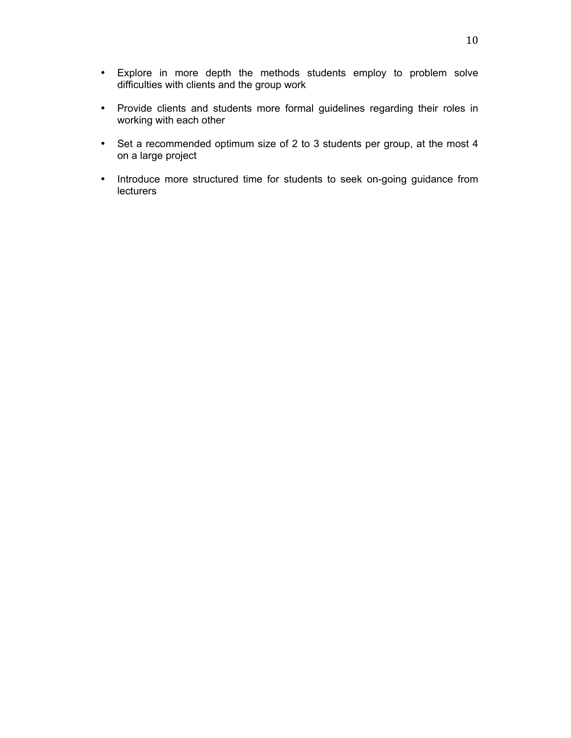- Explore in more depth the methods students employ to problem solve difficulties with clients and the group work
- Provide clients and students more formal guidelines regarding their roles in working with each other
- Set a recommended optimum size of 2 to 3 students per group, at the most 4 on a large project
- Introduce more structured time for students to seek on-going guidance from lecturers